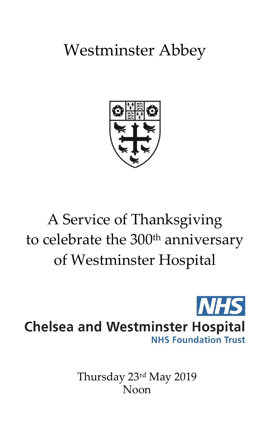## Westminster Abbey



# A Service of Thanksgiving to celebrate the 300<sup>th</sup> anniversary of Westminster Hospital



Thursday 23rd May 2019 Noon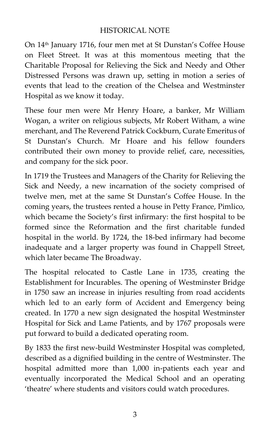## HISTORICAL NOTE

On 14th January 1716, four men met at St Dunstan's Coffee House on Fleet Street. It was at this momentous meeting that the Charitable Proposal for Relieving the Sick and Needy and Other Distressed Persons was drawn up, setting in motion a series of events that lead to the creation of the Chelsea and Westminster Hospital as we know it today.

These four men were Mr Henry Hoare, a banker, Mr William Wogan, a writer on religious subjects, Mr Robert Witham, a wine merchant, and The Reverend Patrick Cockburn, Curate Emeritus of St Dunstan's Church. Mr Hoare and his fellow founders contributed their own money to provide relief, care, necessities, and company for the sick poor.

In 1719 the Trustees and Managers of the Charity for Relieving the Sick and Needy, a new incarnation of the society comprised of twelve men, met at the same St Dunstan's Coffee House. In the coming years, the trustees rented a house in Petty France, Pimlico, which became the Society's first infirmary: the first hospital to be formed since the Reformation and the first charitable funded hospital in the world. By 1724, the 18-bed infirmary had become inadequate and a larger property was found in Chappell Street, which later became The Broadway.

The hospital relocated to Castle Lane in 1735, creating the Establishment for Incurables. The opening of Westminster Bridge in 1750 saw an increase in injuries resulting from road accidents which led to an early form of Accident and Emergency being created. In 1770 a new sign designated the hospital Westminster Hospital for Sick and Lame Patients, and by 1767 proposals were put forward to build a dedicated operating room.

By 1833 the first new-build Westminster Hospital was completed, described as a dignified building in the centre of Westminster. The hospital admitted more than 1,000 in-patients each year and eventually incorporated the Medical School and an operating 'theatre' where students and visitors could watch procedures.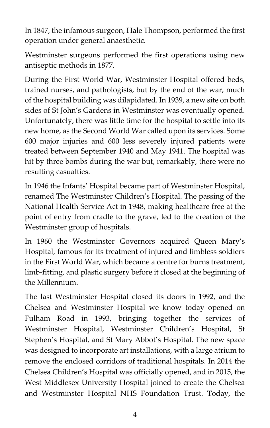In 1847, the infamous surgeon, Hale Thompson, performed the first operation under general anaesthetic.

Westminster surgeons performed the first operations using new antiseptic methods in 1877.

During the First World War, Westminster Hospital offered beds, trained nurses, and pathologists, but by the end of the war, much of the hospital building was dilapidated. In 1939, a new site on both sides of St John's Gardens in Westminster was eventually opened. Unfortunately, there was little time for the hospital to settle into its new home, as the Second World War called upon its services. Some 600 major injuries and 600 less severely injured patients were treated between September 1940 and May 1941. The hospital was hit by three bombs during the war but, remarkably, there were no resulting casualties.

In 1946 the Infants' Hospital became part of Westminster Hospital, renamed The Westminster Children's Hospital. The passing of the National Health Service Act in 1948, making healthcare free at the point of entry from cradle to the grave, led to the creation of the Westminster group of hospitals.

In 1960 the Westminster Governors acquired Queen Mary's Hospital, famous for its treatment of injured and limbless soldiers in the First World War, which became a centre for burns treatment, limb-fitting, and plastic surgery before it closed at the beginning of the Millennium.

The last Westminster Hospital closed its doors in 1992, and the Chelsea and Westminster Hospital we know today opened on Fulham Road in 1993, bringing together the services of Westminster Hospital, Westminster Children's Hospital, St Stephen's Hospital, and St Mary Abbot's Hospital. The new space was designed to incorporate art installations, with a large atrium to remove the enclosed corridors of traditional hospitals. In 2014 the Chelsea Children's Hospital was officially opened, and in 2015, the West Middlesex University Hospital joined to create the Chelsea and Westminster Hospital NHS Foundation Trust. Today, the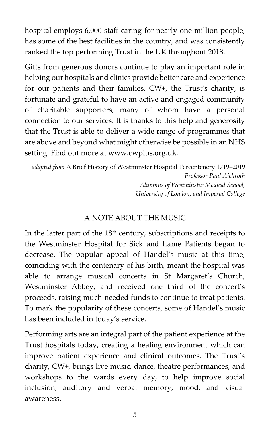hospital employs 6,000 staff caring for nearly one million people, has some of the best facilities in the country, and was consistently ranked the top performing Trust in the UK throughout 2018.

Gifts from generous donors continue to play an important role in helping our hospitals and clinics provide better care and experience for our patients and their families. CW+, the Trust's charity, is fortunate and grateful to have an active and engaged community of charitable supporters, many of whom have a personal connection to our services. It is thanks to this help and generosity that the Trust is able to deliver a wide range of programmes that are above and beyond what might otherwise be possible in an NHS setting. Find out more at www.cwplus.org.uk.

*adapted from* A Brief History of Westminster Hospital Tercentenery 1719–2019 *Professor Paul Aichroth Alumnus of Westminster Medical School, University of London, and Imperial College*

## A NOTE ABOUT THE MUSIC

In the latter part of the  $18<sup>th</sup>$  century, subscriptions and receipts to the Westminster Hospital for Sick and Lame Patients began to decrease. The popular appeal of Handel's music at this time, coinciding with the centenary of his birth, meant the hospital was able to arrange musical concerts in St Margaret's Church, Westminster Abbey, and received one third of the concert's proceeds, raising much-needed funds to continue to treat patients. To mark the popularity of these concerts, some of Handel's music has been included in today's service.

Performing arts are an integral part of the patient experience at the Trust hospitals today, creating a healing environment which can improve patient experience and clinical outcomes. The Trust's charity, CW+, brings live music, dance, theatre performances, and workshops to the wards every day, to help improve social inclusion, auditory and verbal memory, mood, and visual awareness.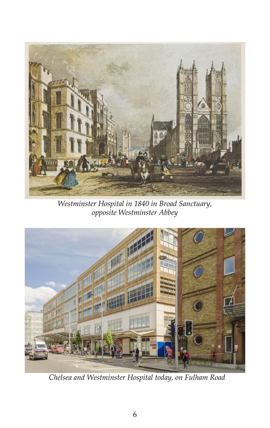

*Westminster Hospital in 1840 in Broad Sanctuary, opposite Westminster Abbey*



*Chelsea and Westminster Hospital today, on Fulham Road*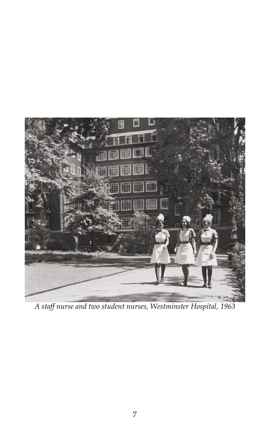

*A staff nurse and two student nurses, Westminster Hospital, 1963*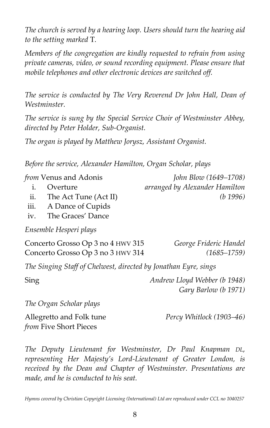*The church is served by a hearing loop. Users should turn the hearing aid to the setting marked* T*.*

*Members of the congregation are kindly requested to refrain from using private cameras, video, or sound recording equipment. Please ensure that mobile telephones and other electronic devices are switched off.*

*The service is conducted by The Very Reverend Dr John Hall, Dean of Westminster.*

*The service is sung by the Special Service Choir of Westminster Abbey, directed by Peter Holder, Sub-Organist.*

*The organ is played by Matthew Jorysz, Assistant Organist.*

*Before the service, Alexander Hamilton, Organ Scholar, plays*

|          | <i>from</i> Venus and Adonis | John Blow (1649–1708)          |
|----------|------------------------------|--------------------------------|
|          | i. Overture                  | arranged by Alexander Hamilton |
|          | The Act Tune (Act II)        | $(b\ 1996)$                    |
| $\cdots$ |                              |                                |

iii. A Dance of Cupids

iv. The Graces' Dance

*Ensemble Hesperi plays*

| Concerto Grosso Op 3 no 4 HWV 315 | George Frideric Handel |
|-----------------------------------|------------------------|
| Concerto Grosso Op 3 no 3 HWV 314 | $(1685 - 1759)$        |

*The Singing Staff of Chelwest, directed by Jonathan Eyre, sings*

Sing *Andrew Lloyd Webber (b 1948) Gary Barlow (b 1971)*

*The Organ Scholar plays*

Allegretto and Folk tune *Percy Whitlock (1903–46) from* Five Short Pieces

*The Deputy Lieutenant for Westminster, Dr Paul Knapman DL, representing Her Majesty's Lord-Lieutenant of Greater London, is received by the Dean and Chapter of Westminster. Presentations are made, and he is conducted to his seat.*

*Hymns covered by Christian Copyright Licensing (International) Ltd are reproduced under CCL no 1040257*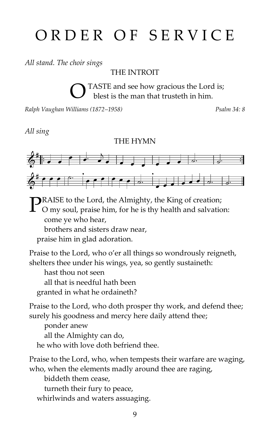## ORDER OF SERVICE

*All stand. The choir sings* 

THE INTROIT

TASTE and see how gracious the Lord is; blest is the man that trusteth in him. O

*Ralph Vaughan Williams (1872–1958) Psalm 34: 8*

*All sing* 

THE HYMN



**PRAISE** to the Lord, the Almighty, the King of creation;<br>O my soul, praise him, for he is thy health and salvation O my soul, praise him, for he is thy health and salvation: come ye who hear,

brothers and sisters draw near,

praise him in glad adoration.

Praise to the Lord, who o'er all things so wondrously reigneth, shelters thee under his wings, yea, so gently sustaineth:

 hast thou not seen all that is needful hath been granted in what he ordaineth?

Praise to the Lord, who doth prosper thy work, and defend thee; surely his goodness and mercy here daily attend thee;

ponder anew

all the Almighty can do,

he who with love doth befriend thee.

Praise to the Lord, who, when tempests their warfare are waging, who, when the elements madly around thee are raging, biddeth them cease, turneth their fury to peace, whirlwinds and waters assuaging.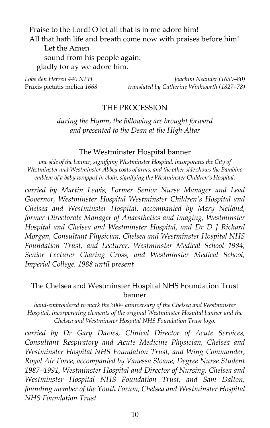Praise to the Lord! O let all that is in me adore him! All that hath life and breath come now with praises before him! Let the Amen sound from his people again: gladly for ay we adore him.

*Lobe den Herren 440 NEH Joachim Neander (1650–80)*  Praxis pietatis melica *1668 translated by Catherine Winkworth (1827–78)*

#### THE PROCESSION

*during the Hymn, the following are brought forward and presented to the Dean at the High Altar*

#### The Westminster Hospital banner

*one side of the banner, signifying Westminster Hospital, incorporates the City of Westminster and Westminster Abbey coats of arms, and the other side shows the Bambino emblem of a baby wrapped in cloth, signifying the Westminster Children's Hospital.*

*carried by Martin Lewis, Former Senior Nurse Manager and Lead Governor, Westminster Hospital Westminster Children's Hospital and Chelsea and Westminster Hospital, accompanied by Mary Neiland, former Directorate Manager of Anaesthetics and Imaging, Westminster Hospital and Chelsea and Westminster Hospital, and Dr D J Richard Morgan, Consultant Physician, Chelsea and Westminster Hospital NHS Foundation Trust, and Lecturer, Westminster Medical School 1984, Senior Lecturer Charing Cross, and Westminster Medical School, Imperial College, 1988 until present*

## The Chelsea and Westminster Hospital NHS Foundation Trust banner

*hand-embroidered to mark the 300th anniversary of the Chelsea and Westminster Hospital, incorporating elements of the original Westminster Hospital banner and the Chelsea and Westminster Hospital NHS Foundation Trust logo.*

*carried by Dr Gary Davies, Clinical Director of Acute Services, Consultant Respiratory and Acute Medicine Physician, Chelsea and Westminster Hospital NHS Foundation Trust, and Wing Commander, Royal Air Force, accompanied by Vanessa Sloane, Degree Nurse Student 1987–1991, Westminster Hospital and Director of Nursing, Chelsea and Westminster Hospital NHS Foundation Trust, and Sam Dalton, founding member of the Youth Forum, Chelsea and Westminster Hospital NHS Foundation Trust*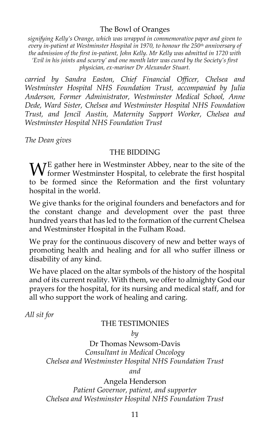### The Bowl of Oranges

*signifying Kelly's Orange, which was wrapped in commemorative paper and given to every in-patient at Westminster Hospital in 1970, to honour the 250th anniversary of the admission of the first in-patient, John Kelly. Mr Kelly was admitted in 1720 with 'Evil in his joints and scurvy' and one month later was cured by the Society's first physician, ex-mariner Dr Alexander Stuart.*

*carried by Sandra Easton, Chief Financial Officer, Chelsea and Westminster Hospital NHS Foundation Trust, accompanied by Julia Anderson, Former Administrator, Westminster Medical School, Anne Dede, Ward Sister, Chelsea and Westminster Hospital NHS Foundation Trust, and Jencil Austin, Maternity Support Worker, Chelsea and Westminster Hospital NHS Foundation Trust*

*The Dean gives*

#### THE BIDDING

E gather here in Westminster Abbey, near to the site of the W<sup>E</sup> gather here in Westminster Abbey, near to the site of the first hospital former Westminster Hospital, to celebrate the first hospital to be formed since the Reformation and the first voluntary hospital in the world.

We give thanks for the original founders and benefactors and for the constant change and development over the past three hundred years that has led to the formation of the current Chelsea and Westminster Hospital in the Fulham Road.

We pray for the continuous discovery of new and better ways of promoting health and healing and for all who suffer illness or disability of any kind.

We have placed on the altar symbols of the history of the hospital and of its current reality. With them, we offer to almighty God our prayers for the hospital, for its nursing and medical staff, and for all who support the work of healing and caring.

*All sit for*

## THE TESTIMONIES

#### *by*

Dr Thomas Newsom-Davis *Consultant in Medical Oncology Chelsea and Westminster Hospital NHS Foundation Trust*

*and*

Angela Henderson *Patient Governor, patient, and supporter Chelsea and Westminster Hospital NHS Foundation Trust*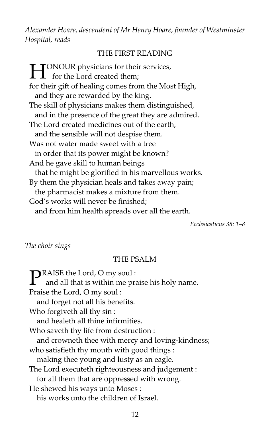*Alexander Hoare, descendent of Mr Henry Hoare, founder of Westminster Hospital, reads*

#### THE FIRST READING

**HEREA** CONOUR physicians for their services,<br>
for the Lord created them; for the Lord created them; for their gift of healing comes from the Most High, and they are rewarded by the king. The skill of physicians makes them distinguished, and in the presence of the great they are admired. The Lord created medicines out of the earth, and the sensible will not despise them. Was not water made sweet with a tree in order that its power might be known? And he gave skill to human beings that he might be glorified in his marvellous works. By them the physician heals and takes away pain; the pharmacist makes a mixture from them. God's works will never be finished; and from him health spreads over all the earth.

*Ecclesiasticus 38: 1–8*

#### *The choir sings*

#### THE PSALM

**PRAISE** the Lord, O my soul :<br>and all that is within me pr and all that is within me praise his holy name. Praise the Lord, O my soul : and forget not all his benefits. Who forgiveth all thy sin : and healeth all thine infirmities. Who saveth thy life from destruction : and crowneth thee with mercy and loving-kindness; who satisfieth thy mouth with good things : making thee young and lusty as an eagle. The Lord executeth righteousness and judgement : for all them that are oppressed with wrong. He shewed his ways unto Moses : his works unto the children of Israel.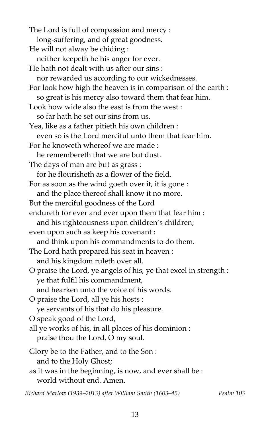The Lord is full of compassion and mercy : long-suffering, and of great goodness. He will not alway be chiding : neither keepeth he his anger for ever. He hath not dealt with us after our sins : nor rewarded us according to our wickednesses. For look how high the heaven is in comparison of the earth : so great is his mercy also toward them that fear him. Look how wide also the east is from the west : so far hath he set our sins from us. Yea, like as a father pitieth his own children : even so is the Lord merciful unto them that fear him. For he knoweth whereof we are made : he remembereth that we are but dust. The days of man are but as grass : for he flourisheth as a flower of the field. For as soon as the wind goeth over it, it is gone : and the place thereof shall know it no more. But the merciful goodness of the Lord endureth for ever and ever upon them that fear him : and his righteousness upon children's children; even upon such as keep his covenant : and think upon his commandments to do them. The Lord hath prepared his seat in heaven : and his kingdom ruleth over all. O praise the Lord, ye angels of his, ye that excel in strength : ye that fulfil his commandment, and hearken unto the voice of his words. O praise the Lord, all ye his hosts : ye servants of his that do his pleasure. O speak good of the Lord, all ye works of his, in all places of his dominion : praise thou the Lord, O my soul. Glory be to the Father, and to the Son : and to the Holy Ghost; as it was in the beginning, is now, and ever shall be : world without end. Amen.

*Richard Marlow (1939–2013) after William Smith (1603–45) Psalm 103*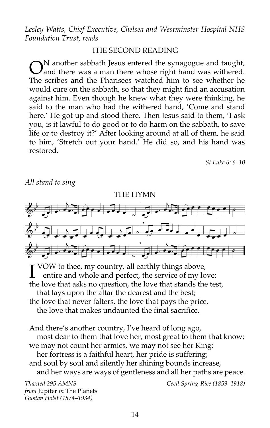*Lesley Watts, Chief Executive, Chelsea and Westminster Hospital NHS Foundation Trust, reads*

#### THE SECOND READING

N another sabbath Jesus entered the synagogue and taught,  $\sum_{n=1}^{\infty}$  and there was a man there whose right hand was withered. The scribes and the Pharisees watched him to see whether he would cure on the sabbath, so that they might find an accusation against him. Even though he knew what they were thinking, he said to the man who had the withered hand, 'Come and stand here.' He got up and stood there. Then Jesus said to them, 'I ask you, is it lawful to do good or to do harm on the sabbath, to save life or to destroy it?' After looking around at all of them, he said to him, 'Stretch out your hand.' He did so, and his hand was restored.

*St Luke 6: 6–10*

*All stand to sing*



**I** VOW to thee, my country, all earthly things above,<br>entire and whole and perfect, the service of my lo entire and whole and perfect, the service of my love: the love that asks no question, the love that stands the test, that lays upon the altar the dearest and the best; the love that never falters, the love that pays the price, the love that makes undaunted the final sacrifice.

And there's another country, I've heard of long ago, most dear to them that love her, most great to them that know; we may not count her armies, we may not see her King; her fortress is a faithful heart, her pride is suffering; and soul by soul and silently her shining bounds increase, and her ways are ways of gentleness and all her paths are peace.

*Thaxted 295 AMNS Cecil Spring-Rice (1859–1918) from* Jupiter *in* The Planets *Gustav Holst (1874–1934)*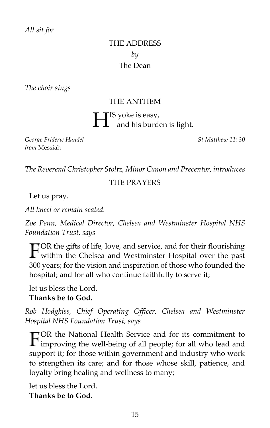*All sit for* 

## THE ADDRESS *by* The Dean

*The choir sings*

### THE ANTHEM

IS yoke is easy,  $\prod$ <sup>IS</sup> yoke is easy,<br>and his burden is light.

*George Frideric Handel St Matthew 11: 30 from* Messiah

*The Reverend Christopher Stoltz, Minor Canon and Precentor, introduces*

#### THE PRAYERS

Let us pray.

*All kneel or remain seated.*

*Zoe Penn, Medical Director, Chelsea and Westminster Hospital NHS Foundation Trust, says*

OR the gifts of life, love, and service, and for their flourishing FOR the gifts of life, love, and service, and for their flourishing<br>within the Chelsea and Westminster Hospital over the past 300 years; for the vision and inspiration of those who founded the hospital; and for all who continue faithfully to serve it;

let us bless the Lord. **Thanks be to God.**

*Rob Hodgkiss, Chief Operating Officer, Chelsea and Westminster Hospital NHS Foundation Trust, says*

TOR the National Health Service and for its commitment to FOR the National Health Service and for its commitment to improving the well-being of all people; for all who lead and support it; for those within government and industry who work to strengthen its care; and for those whose skill, patience, and loyalty bring healing and wellness to many;

let us bless the Lord. **Thanks be to God.**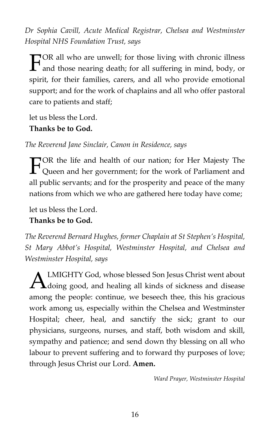*Dr Sophia Cavill, Acute Medical Registrar, Chelsea and Westminster Hospital NHS Foundation Trust, says*

OR all who are unwell; for those living with chronic illness  $\Gamma$ <sup>OR</sup> all who are unwell; for those living with chronic illness<br>and those nearing death; for all suffering in mind, body, or spirit, for their families, carers, and all who provide emotional support; and for the work of chaplains and all who offer pastoral care to patients and staff;

let us bless the Lord.

## **Thanks be to God.**

*The Reverend Jane Sinclair, Canon in Residence, says* 

FOR the life and health of our nation; for Her Majesty The Queen and her government; for the work of Parliament and Queen and her government; for the work of Parliament and all public servants; and for the prosperity and peace of the many nations from which we who are gathered here today have come;

let us bless the Lord. **Thanks be to God.**

*The Reverend Bernard Hughes, former Chaplain at St Stephen's Hospital, St Mary Abbot's Hospital, Westminster Hospital, and Chelsea and Westminster Hospital, says*

LMIGHTY God, whose blessed Son Jesus Christ went about **ALMIGHTY God, whose blessed Son Jesus Christ went about** doing good, and healing all kinds of sickness and disease among the people: continue, we beseech thee, this his gracious work among us, especially within the Chelsea and Westminster Hospital; cheer, heal, and sanctify the sick; grant to our physicians, surgeons, nurses, and staff, both wisdom and skill, sympathy and patience; and send down thy blessing on all who labour to prevent suffering and to forward thy purposes of love; through Jesus Christ our Lord. **Amen.**

*Ward Prayer, Westminster Hospital*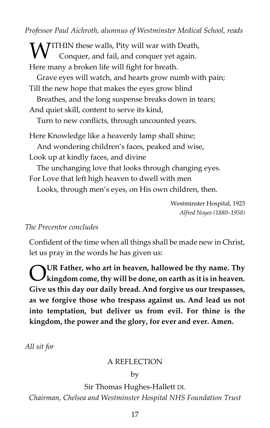*Professor Paul Aichroth, alumnus of Westminster Medical School, reads*

**TITHIN** these walls, Pity will war with Death, Conquer, and fail, and conquer yet again. Here many a broken life will fight for breath. Grave eyes will watch, and hearts grow numb with pain; Till the new hope that makes the eyes grow blind Breathes, and the long suspense breaks down in tears; And quiet skill, content to serve its kind, Turn to new conflicts, through uncounted years. Here Knowledge like a heavenly lamp shall shine; And wondering children's faces, peaked and wise, Look up at kindly faces, and divine The unchanging love that looks through changing eyes. For Love that left high heaven to dwell with men Looks, through men's eyes, on His own children, then. W

Westminster Hospital, 1923 *Alfred Noyes (1880–1958)*

#### *The Precentor concludes*

Confident of the time when all things shall be made new in Christ, let us pray in the words he has given us:

**UR Father, who art in heaven, hallowed be thy name. Thy kingdom come, thy will be done, on earth as it is in heaven.**<br> **kingdom come, thy will be done, on earth as it is in heaven. Give us this day our daily bread. And forgive us our trespasses, as we forgive those who trespass against us. And lead us not into temptation, but deliver us from evil. For thine is the kingdom, the power and the glory, for ever and ever. Amen.**

*All sit for* 

#### A REFLECTION

#### by

Sir Thomas Hughes-Hallett DL *Chairman, Chelsea and Westminster Hospital NHS Foundation Trust*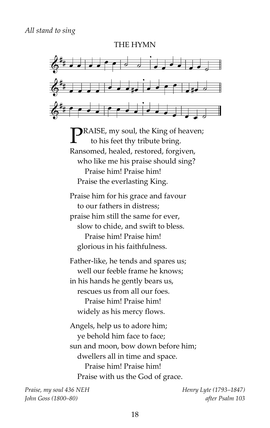#### THE HYMN



**P**RAISE, my soul, the King of heaven;<br>to his feet thy tribute bring. to his feet thy tribute bring. Ransomed, healed, restored, forgiven, who like me his praise should sing? Praise him! Praise him! Praise the everlasting King.

Praise him for his grace and favour to our fathers in distress; praise him still the same for ever, slow to chide, and swift to bless. Praise him! Praise him! glorious in his faithfulness.

Father-like, he tends and spares us; well our feeble frame he knows; in his hands he gently bears us, rescues us from all our foes. Praise him! Praise him! widely as his mercy flows.

Angels, help us to adore him; ye behold him face to face; sun and moon, bow down before him; dwellers all in time and space. Praise him! Praise him! Praise with us the God of grace.

*John Goss (1800–80) after Psalm 103*

*Praise, my soul 436 NEH Henry Lyte (1793–1847)*